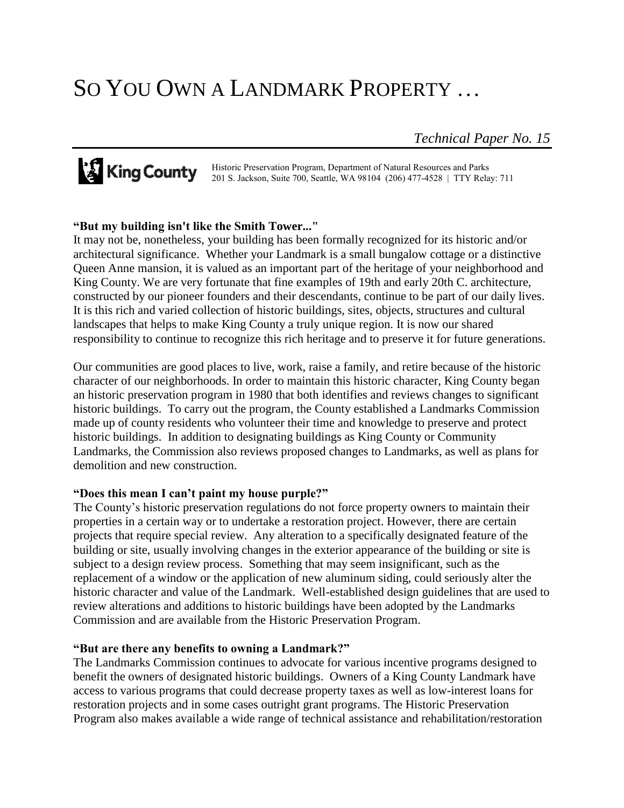# SO YOU OWN A LANDMARK PROPERTY …

*Technical Paper No. 15*

Historic Preservation Program, Department of Natural Resources and Parks 201 S. Jackson, Suite 700, Seattle, WA 98104 (206) 477-4528 | TTY Relay: 711

### **"But my building isn't like the Smith Tower..."**

It may not be, nonetheless, your building has been formally recognized for its historic and/or architectural significance. Whether your Landmark is a small bungalow cottage or a distinctive Queen Anne mansion, it is valued as an important part of the heritage of your neighborhood and King County. We are very fortunate that fine examples of 19th and early 20th C. architecture, constructed by our pioneer founders and their descendants, continue to be part of our daily lives. It is this rich and varied collection of historic buildings, sites, objects, structures and cultural landscapes that helps to make King County a truly unique region. It is now our shared responsibility to continue to recognize this rich heritage and to preserve it for future generations.

Our communities are good places to live, work, raise a family, and retire because of the historic character of our neighborhoods. In order to maintain this historic character, King County began an historic preservation program in 1980 that both identifies and reviews changes to significant historic buildings. To carry out the program, the County established a Landmarks Commission made up of county residents who volunteer their time and knowledge to preserve and protect historic buildings. In addition to designating buildings as King County or Community Landmarks, the Commission also reviews proposed changes to Landmarks, as well as plans for demolition and new construction.

### **"Does this mean I can't paint my house purple?"**

The County's historic preservation regulations do not force property owners to maintain their properties in a certain way or to undertake a restoration project. However, there are certain projects that require special review. Any alteration to a specifically designated feature of the building or site, usually involving changes in the exterior appearance of the building or site is subject to a design review process. Something that may seem insignificant, such as the replacement of a window or the application of new aluminum siding, could seriously alter the historic character and value of the Landmark. Well-established design guidelines that are used to review alterations and additions to historic buildings have been adopted by the Landmarks Commission and are available from the Historic Preservation Program.

### **"But are there any benefits to owning a Landmark?"**

The Landmarks Commission continues to advocate for various incentive programs designed to benefit the owners of designated historic buildings. Owners of a King County Landmark have access to various programs that could decrease property taxes as well as low-interest loans for restoration projects and in some cases outright grant programs. The Historic Preservation Program also makes available a wide range of technical assistance and rehabilitation/restoration